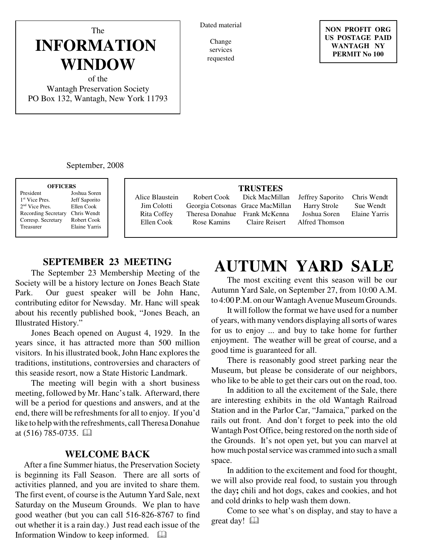#### Dated material

Change services requested

The **INFORMATION WINDOW**

of the Wantagh Preservation Society PO Box 132, Wantagh, New York 11793

September, 2008

| <b>OFFICERS</b> |                            |               |  |
|-----------------|----------------------------|---------------|--|
|                 | President                  | Joshua Soren  |  |
|                 | 1 <sup>st</sup> Vice Pres  | Jeff Saporito |  |
|                 | $2nd$ Vice Pres.           | Ellen Cook    |  |
|                 | <b>Recording Secretary</b> | Chris Wendt   |  |
|                 | Corresp. Secretary         | Robert Cook   |  |
|                 | Treasurer                  | Elaine Yarris |  |
|                 |                            |               |  |

Alice Blaustein Jim Colotti Rita Coffey Ellen Cook

Robert Cook Georgia Cotsonas Grace MacMillan Theresa Donahue Rose Kamins

#### **TRUSTEES**

Dick MacMillan Frank McKenna Claire Reisert

Jeffrey Saporito Harry Strole Joshua Soren Alfred Thomson

Chris Wendt Sue Wendt Elaine Yarris

### **SEPTEMBER 23 MEETING**

The September 23 Membership Meeting of the Society will be a history lecture on Jones Beach State Park. Our guest speaker will be John Hanc, contributing editor for Newsday. Mr. Hanc will speak about his recently published book, "Jones Beach, an Illustrated History."

Jones Beach opened on August 4, 1929. In the years since, it has attracted more than 500 million visitors. In his illustrated book, John Hanc explores the traditions, institutions, controversies and characters of this seaside resort, now a State Historic Landmark.

The meeting will begin with a short business meeting, followed by Mr. Hanc's talk. Afterward, there will be a period for questions and answers, and at the end, there will be refreshments for all to enjoy. If you'd like to help with the refreshments, call Theresa Donahue at  $(516)$  785-0735.  $\Box$ 

#### **WELCOME BACK**

 After a fine Summer hiatus, the Preservation Society is beginning its Fall Season. There are all sorts of activities planned, and you are invited to share them. The first event, of course is the Autumn Yard Sale, next Saturday on the Museum Grounds. We plan to have good weather (but you can call 516-826-8767 to find out whether it is a rain day.) Just read each issue of the Information Window to keep informed.

# **AUTUMN YARD SALE**

The most exciting event this season will be our Autumn Yard Sale, on September 27, from 10:00 A.M. to 4:00 P.M. on our Wantagh Avenue Museum Grounds.

 It will follow the format we have used for a number of years, with many vendors displaying all sorts of wares for us to enjoy ... and buy to take home for further enjoyment. The weather will be great of course, and a good time is guaranteed for all.

There is reasonably good street parking near the Museum, but please be considerate of our neighbors, who like to be able to get their cars out on the road, too.

In addition to all the excitement of the Sale, there are interesting exhibits in the old Wantagh Railroad Station and in the Parlor Car, "Jamaica," parked on the rails out front. And don't forget to peek into the old Wantagh Post Office, being restored on the north side of the Grounds. It's not open yet, but you can marvel at how much postal service was crammed into such a small space.

In addition to the excitement and food for thought, we will also provide real food, to sustain you through the day**;** chili and hot dogs, cakes and cookies, and hot and cold drinks to help wash them down.

Come to see what's on display, and stay to have a great day!

#### **NON PROFIT ORG US POSTAGE PAID WANTAGH NY PERMIT No 100**